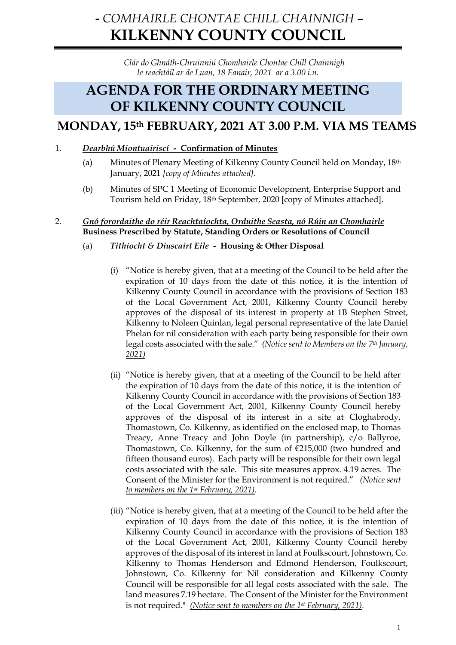# **-** *COMHAIRLE CHONTAE CHILL CHAINNIGH –* **KILKENNY COUNTY COUNCIL**

*Clár do Ghnáth-Chruinniú Chomhairle Chontae Chill Chainnigh le reachtáil ar de Luan, 18 Eanair, 2021 ar a 3.00 i.n.*

# **AGENDA FOR THE ORDINARY MEETING OF KILKENNY COUNTY COUNCIL**

# **MONDAY, 15th FEBRUARY, 2021 AT 3.00 P.M. VIA MS TEAMS**

## 1. *Dearbhú Miontuairiscí -* **Confirmation of Minutes**

- (a) Minutes of Plenary Meeting of Kilkenny County Council held on Monday, 18th January, 2021 *[copy of Minutes attached].*
- (b) Minutes of SPC 1 Meeting of Economic Development, Enterprise Support and Tourism held on Friday, 18th September, 2020 [copy of Minutes attached].

## 2. *Gnó forordaithe do réir Reachtaíochta, Orduithe Seasta, nó Rúin an Chomhairle* **Business Prescribed by Statute, Standing Orders or Resolutions of Council**

- (a) *Tithíocht & Díuscairt Eile* **Housing & Other Disposal**
	- (i) "Notice is hereby given, that at a meeting of the Council to be held after the expiration of 10 days from the date of this notice, it is the intention of Kilkenny County Council in accordance with the provisions of Section 183 of the Local Government Act, 2001, Kilkenny County Council hereby approves of the disposal of its interest in property at 1B Stephen Street, Kilkenny to Noleen Quinlan, legal personal representative of the late Daniel Phelan for nil consideration with each party being responsible for their own legal costs associated with the sale." *(Notice sent to Members on the 7th January, 2021)*
	- (ii) "Notice is hereby given, that at a meeting of the Council to be held after the expiration of 10 days from the date of this notice, it is the intention of Kilkenny County Council in accordance with the provisions of Section 183 of the Local Government Act, 2001, Kilkenny County Council hereby approves of the disposal of its interest in a site at Cloghabrody, Thomastown, Co. Kilkenny, as identified on the enclosed map, to Thomas Treacy, Anne Treacy and John Doyle (in partnership), c/o Ballyroe, Thomastown, Co. Kilkenny, for the sum of €215,000 (two hundred and fifteen thousand euros). Each party will be responsible for their own legal costs associated with the sale. This site measures approx. 4.19 acres. The Consent of the Minister for the Environment is not required." *(Notice sent to members on the 1st February, 2021).*
	- (iii) "Notice is hereby given, that at a meeting of the Council to be held after the expiration of 10 days from the date of this notice, it is the intention of Kilkenny County Council in accordance with the provisions of Section 183 of the Local Government Act, 2001, Kilkenny County Council hereby approves of the disposal of its interest in land at Foulkscourt, Johnstown, Co. Kilkenny to Thomas Henderson and Edmond Henderson, Foulkscourt, Johnstown, Co. Kilkenny for Nil consideration and Kilkenny County Council will be responsible for all legal costs associated with the sale. The land measures 7.19 hectare. The Consent of the Minister for the Environment is not required." *(Notice sent to members on the 1st February, 2021).*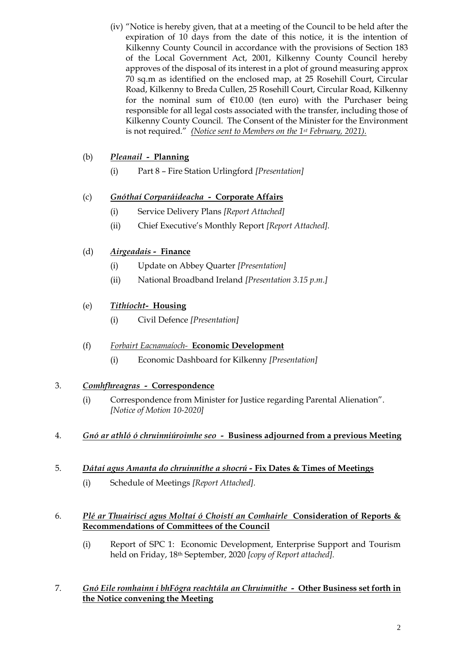(iv) "Notice is hereby given, that at a meeting of the Council to be held after the expiration of 10 days from the date of this notice, it is the intention of Kilkenny County Council in accordance with the provisions of Section 183 of the Local Government Act, 2001, Kilkenny County Council hereby approves of the disposal of its interest in a plot of ground measuring approx 70 sq.m as identified on the enclosed map, at 25 Rosehill Court, Circular Road, Kilkenny to Breda Cullen, 25 Rosehill Court, Circular Road, Kilkenny for the nominal sum of  $£10.00$  (ten euro) with the Purchaser being responsible for all legal costs associated with the transfer, including those of Kilkenny County Council. The Consent of the Minister for the Environment is not required." *(Notice sent to Members on the 1st February, 2021).*

# (b) *Pleanail -* **Planning**

(i) Part 8 – Fire Station Urlingford *[Presentation]*

# (c) *Gnóthaí Corparáideacha -* **Corporate Affairs**

- (i) Service Delivery Plans *[Report Attached]*
- (ii) Chief Executive's Monthly Report *[Report Attached].*

# (d) *Airgeadais -* **Finance**

- (i) Update on Abbey Quarter *[Presentation]*
- (ii) National Broadband Ireland *[Presentation 3.15 p.m.]*

# (e) *Tithíocht-* **Housing**

(i) Civil Defence *[Presentation]*

## (f) *Forbairt Eacnamaíoch-* **Economic Development**

(i) Economic Dashboard for Kilkenny *[Presentation]*

## 3. *Comhfhreagras -* **Correspondence**

- (i) Correspondence from Minister for Justice regarding Parental Alienation". *[Notice of Motion 10-2020]*
- 4. *Gnó ar athló ó chruinniúroimhe seo* **Business adjourned from a previous Meeting**

## 5. *Dátaí agus Amanta do chruinnithe a shocrú -* **Fix Dates & Times of Meetings**

(i) Schedule of Meetings *[Report Attached].*

## 6. *Plé ar Thuairiscí agus Moltaí ó Choistí an Comhairle* **Consideration of Reports & Recommendations of Committees of the Council**

(i) Report of SPC 1: Economic Development, Enterprise Support and Tourism held on Friday, 18th September, 2020 *[copy of Report attached].*

## 7. *Gnó Eile romhainn i bhFógra reachtála an Chruinnithe -* **Other Business set forth in the Notice convening the Meeting**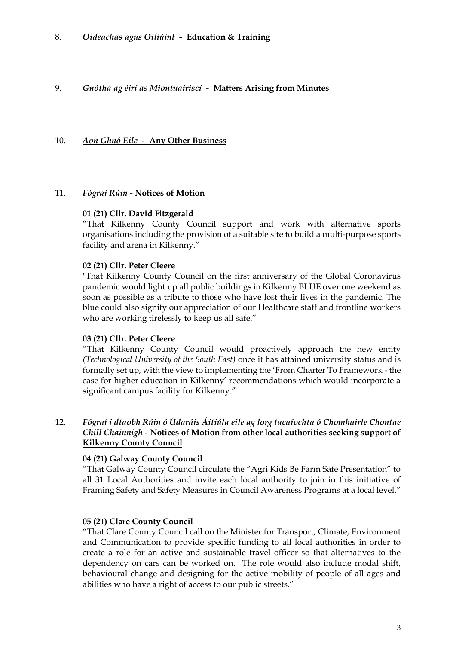## 9. *Gnótha ag éirí as Miontuairiscí -* **Matters Arising from Minutes**

### 10. *Aon Ghnó Eile -* **Any Other Business**

#### 11. *Fógraí Rúin -* **Notices of Motion**

#### **01 (21) Cllr. David Fitzgerald**

"That Kilkenny County Council support and work with alternative sports organisations including the provision of a suitable site to build a multi-purpose sports facility and arena in Kilkenny."

#### **02 (21) Cllr. Peter Cleere**

"That Kilkenny County Council on the first anniversary of the Global Coronavirus pandemic would light up all public buildings in Kilkenny BLUE over one weekend as soon as possible as a tribute to those who have lost their lives in the pandemic. The blue could also signify our appreciation of our Healthcare staff and frontline workers who are working tirelessly to keep us all safe."

#### **03 (21) Cllr. Peter Cleere**

"That Kilkenny County Council would proactively approach the new entity *(Technological University of the South East)* once it has attained university status and is formally set up, with the view to implementing the 'From Charter To Framework - the case for higher education in Kilkenny' recommendations which would incorporate a significant campus facility for Kilkenny."

## 12. *Fógraí i dtaobh Rúin ó Údaráis Áitiúla eile ag lorg tacaíochta ó Chomhairle Chontae Chill Chainnigh -* **Notices of Motion from other local authorities seeking support of Kilkenny County Council**

## **04 (21) Galway County Council**

"That Galway County Council circulate the "Agri Kids Be Farm Safe Presentation" to all 31 Local Authorities and invite each local authority to join in this initiative of Framing Safety and Safety Measures in Council Awareness Programs at a local level."

#### **05 (21) Clare County Council**

"That Clare County Council call on the Minister for Transport, Climate, Environment and Communication to provide specific funding to all local authorities in order to create a role for an active and sustainable travel officer so that alternatives to the dependency on cars can be worked on. The role would also include modal shift, behavioural change and designing for the active mobility of people of all ages and abilities who have a right of access to our public streets."